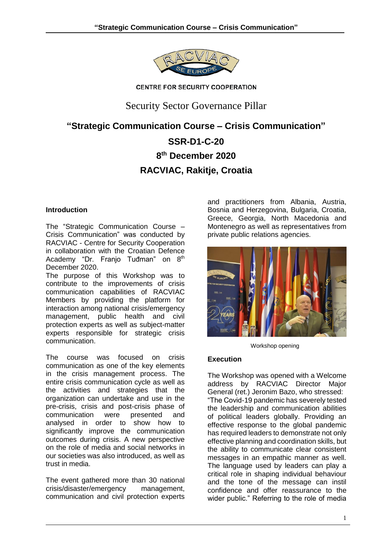

**CENTRE FOR SECURITY COOPERATION** 

# Security Sector Governance Pillar

# **"Strategic Communication Course – Crisis Communication"**

# **SSR-D1-C-20 8 th December 2020 RACVIAC, Rakitje, Croatia**

## **Introduction**

The "Strategic Communication Course – Crisis Communication" was conducted by RACVIAC - Centre for Security Cooperation in collaboration with the Croatian Defence Academy "Dr. Franjo Tuđman" on 8<sup>th</sup> December 2020.

The purpose of this Workshop was to contribute to the improvements of crisis communication capabilities of RACVIAC Members by providing the platform for interaction among national crisis/emergency management, public health and civil protection experts as well as subject-matter experts responsible for strategic crisis communication.

The course was focused on crisis communication as one of the key elements in the crisis management process. The entire crisis communication cycle as well as the activities and strategies that the organization can undertake and use in the pre-crisis, crisis and post-crisis phase of communication were presented and analysed in order to show how to significantly improve the communication outcomes during crisis. A new perspective on the role of media and social networks in our societies was also introduced, as well as trust in media.

The event gathered more than 30 national crisis/disaster/emergency management, communication and civil protection experts

and practitioners from Albania, Austria, Bosnia and Herzegovina, Bulgaria, Croatia, Greece, Georgia, North Macedonia and Montenegro as well as representatives from private public relations agencies.



Workshop opening

# **Execution**

The Workshop was opened with a Welcome address by RACVIAC Director Major General (ret.) Jeronim Bazo, who stressed: "The Covid-19 pandemic has severely tested the leadership and communication abilities of political leaders globally. Providing an effective response to the global pandemic has required leaders to demonstrate not only effective planning and coordination skills, but the ability to communicate clear consistent messages in an empathic manner as well. The language used by leaders can play a critical role in shaping individual behaviour and the tone of the message can instil confidence and offer reassurance to the wider public." Referring to the role of media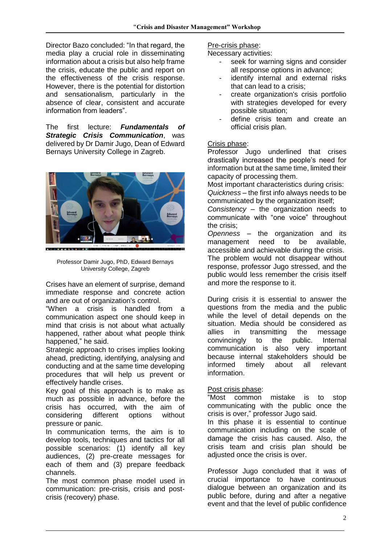Director Bazo concluded: "In that regard, the media play a crucial role in disseminating information about a crisis but also help frame the crisis, educate the public and report on the effectiveness of the crisis response. However, there is the potential for distortion and sensationalism, particularly in the absence of clear, consistent and accurate information from leaders".

The first lecture: *Fundamentals of Strategic Crisis Communication*, was delivered by Dr Damir Jugo, Dean of Edward Bernays University College in Zagreb.



Professor Damir Jugo, PhD, Edward Bernays University College, Zagreb

Crises have an element of surprise, demand immediate response and concrete action and are out of organization's control.

"When a crisis is handled from a communication aspect one should keep in mind that crisis is not about what actually happened, rather about what people think happened," he said.

Strategic approach to crises implies looking ahead, predicting, identifying, analysing and conducting and at the same time developing procedures that will help us prevent or effectively handle crises.

Key goal of this approach is to make as much as possible in advance, before the crisis has occurred, with the aim of considering different options without pressure or panic.

In communication terms, the aim is to develop tools, techniques and tactics for all possible scenarios: (1) identify all key audiences, (2) pre-create messages for each of them and (3) prepare feedback channels.

The most common phase model used in communication: pre-crisis, crisis and postcrisis (recovery) phase.

#### Pre-crisis phase:

Necessary activities:

- seek for warning signs and consider all response options in advance;
- identify internal and external risks that can lead to a crisis;
- create organization's crisis portfolio with strategies developed for every possible situation;
- define crisis team and create an official crisis plan.

## Crisis phase:

Professor Jugo underlined that crises drastically increased the people's need for information but at the same time, limited their capacity of processing them.

Most important characteristics during crisis: *Quickness* – the first info always needs to be communicated by the organization itself;

*Consistency* – the organization needs to communicate with "one voice" throughout the crisis;

*Openness* – the organization and its management need to be available, accessible and achievable during the crisis. The problem would not disappear without

response, professor Jugo stressed, and the public would less remember the crisis itself and more the response to it.

During crisis it is essential to answer the questions from the media and the public while the level of detail depends on the situation. Media should be considered as allies in transmitting the message convincingly to the public. Internal communication is also very important because internal stakeholders should be informed timely about all relevant information.

## Post crisis phase:

"Most common mistake is to stop communicating with the public once the crisis is over," professor Jugo said.

In this phase it is essential to continue communication including on the scale of damage the crisis has caused. Also, the crisis team and crisis plan should be adjusted once the crisis is over.

Professor Jugo concluded that it was of crucial importance to have continuous dialogue between an organization and its public before, during and after a negative event and that the level of public confidence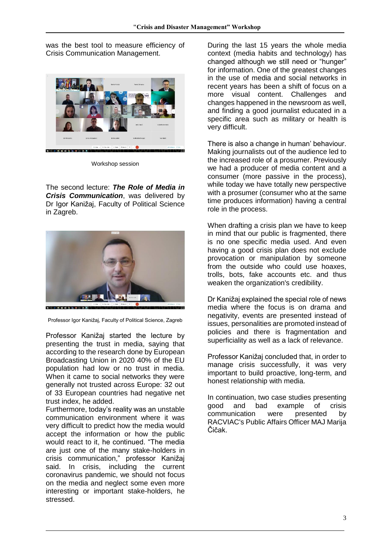was the best tool to measure efficiency of Crisis Communication Management.



Workshop session

The second lecture: *The Role of Media in Crisis Communication*, was delivered by Dr Igor Kanižaj, Faculty of Political Science in Zagreb.



Professor Igor Kanižaj, Faculty of Political Science, Zagreb

Professor Kanižaj started the lecture by presenting the trust in media, saying that according to the research done by European Broadcasting Union in 2020 40% of the EU population had low or no trust in media. When it came to social networks they were generally not trusted across Europe: 32 out of 33 European countries had negative net trust index, he added.

Furthermore, today's reality was an unstable communication environment where it was very difficult to predict how the media would accept the information or how the public would react to it, he continued. "The media are just one of the many stake-holders in crisis communication," professor Kanižaj said. In crisis, including the current coronavirus pandemic, we should not focus on the media and neglect some even more interesting or important stake-holders, he stressed.

During the last 15 years the whole media context (media habits and technology) has changed although we still need or "hunger" for information. One of the greatest changes in the use of media and social networks in recent years has been a shift of focus on a more visual content. Challenges and changes happened in the newsroom as well, and finding a good journalist educated in a specific area such as military or health is very difficult.

There is also a change in human' behaviour. Making journalists out of the audience led to the increased role of a prosumer. Previously we had a producer of media content and a consumer (more passive in the process), while today we have totally new perspective with a prosumer (consumer who at the same time produces information) having a central role in the process.

When drafting a crisis plan we have to keep in mind that our public is fragmented, there is no one specific media used. And even having a good crisis plan does not exclude provocation or manipulation by someone from the outside who could use hoaxes, trolls, bots, fake accounts etc. and thus weaken the organization's credibility.

Dr Kanižaj explained the special role of news media where the focus is on drama and negativity, events are presented instead of issues, personalities are promoted instead of policies and there is fragmentation and superficiality as well as a lack of relevance.

Professor Kanižaj concluded that, in order to manage crisis successfully, it was very important to build proactive, long-term, and honest relationship with media.

In continuation, two case studies presenting good and bad example of crisis communication were presented by RACVIAC's Public Affairs Officer MAJ Marija Čičak.